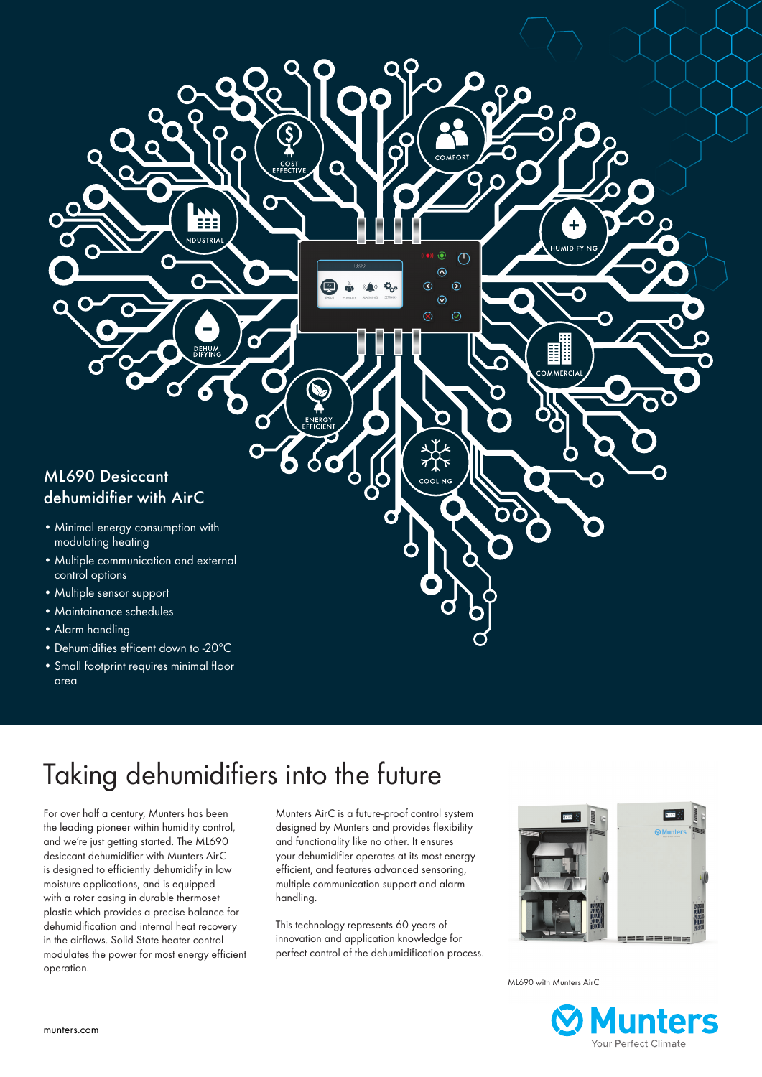

- Minimal energy consumption with modulating heating
- Multiple communication and external control options
- Multiple sensor support
- Maintainance schedules
- Alarm handling
- Dehumidifies efficent down to -20ºC
- Small footprint requires minimal floor area

# Taking dehumidifiers into the future

 $\bullet$ 

Ε NDUSTRIA

**DEHUM** 

O

For over half a century, Munters has been the leading pioneer within humidity control, and we're just getting started. The ML690 desiccant dehumidifier with Munters AirC is designed to efficiently dehumidify in low moisture applications, and is equipped with a rotor casing in durable thermoset plastic which provides a precise balance for dehumidification and internal heat recovery in the airflows. Solid State heater control modulates the power for most energy efficient operation.

Munters AirC is a future-proof control system designed by Munters and provides flexibility and functionality like no other. It ensures your dehumidifier operates at its most energy efficient, and features advanced sensoring, multiple communication support and alarm handling.

 $COMEOP$ 

 $\widehat{\bullet}$  $\circlearrowleft$ 

 $\odot$  $\overline{O}$ 

 $\odot$  $\odot$ 

 $\sim$ 

 $\odot$ 

 $\odot$ 

**HUMIDIFYIN** 

 $\overline{\mathsf{O}}$ 

**AMERCIA** 

This technology represents 60 years of innovation and application knowledge for perfect control of the dehumidification process.



ML690 with Munters AirC